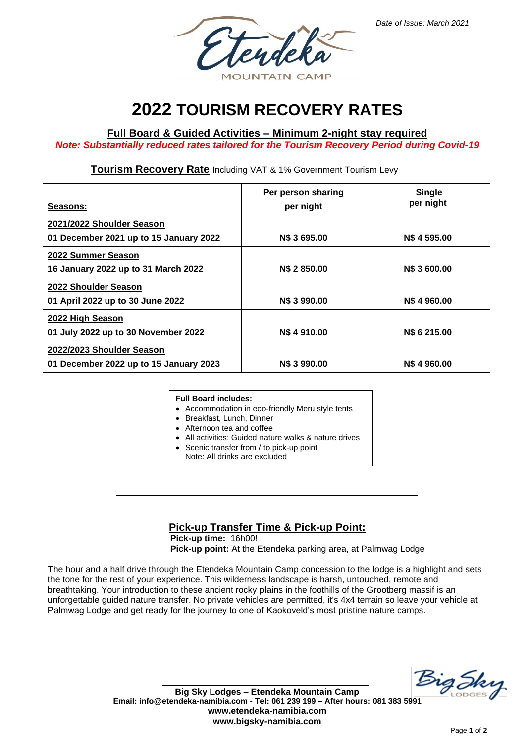

# **2022 TOURISM RECOVERY RATES**

## **Full Board & Guided Activities – Minimum 2-night stay required**

*Note: Substantially reduced rates tailored for the Tourism Recovery Period during Covid-19*

### **Tourism Recovery Rate** Including VAT & 1% Government Tourism Levy

| Seasons:                                                            | Per person sharing<br>per night | <b>Single</b><br>per night |
|---------------------------------------------------------------------|---------------------------------|----------------------------|
| 2021/2022 Shoulder Season<br>01 December 2021 up to 15 January 2022 | N\$ 3 695.00                    | N\$4595.00                 |
| 2022 Summer Season<br>16 January 2022 up to 31 March 2022           | N\$ 2850.00                     | <b>N\$ 3 600.00</b>        |
| 2022 Shoulder Season                                                |                                 |                            |
| 01 April 2022 up to 30 June 2022<br>2022 High Season                | N\$ 3 990.00                    | N\$4960.00                 |
| 01 July 2022 up to 30 November 2022<br>2022/2023 Shoulder Season    | N\$4910.00                      | <b>NS 6 215,00</b>         |
| 01 December 2022 up to 15 January 2023                              | <b>NS 3 990.00</b>              | <b>NS 4 960.00</b>         |

#### **Full Board includes:**

- Accommodation in eco-friendly Meru style tents
- Breakfast, Lunch, Dinner
- Afternoon tea and coffee
- All activities: Guided nature walks & nature drives
	- Scenic transfer from / to pick-up point
	- Note: All drinks are excluded

### **Pick-up Transfer Time & Pick-up Point:**

**Pick-up time:** 16h00! **Pick-up point:** At the Etendeka parking area, at Palmwag Lodge

The hour and a half drive through the Etendeka Mountain Camp concession to the lodge is a highlight and sets the tone for the rest of your experience. This wilderness landscape is harsh, untouched, remote and breathtaking. Your introduction to these ancient rocky plains in the foothills of the Grootberg massif is an unforgettable guided nature transfer. No private vehicles are permitted, it's 4x4 terrain so leave your vehicle at Palmwag Lodge and get ready for the journey to one of Kaokoveld's most pristine nature camps.

Big Sky